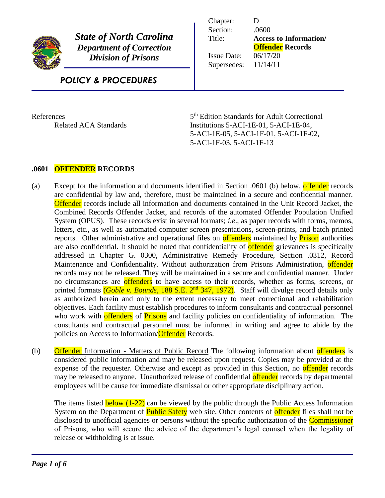

*State of North Carolina Department of Correction Division of Prisons*

| Chapter:           | Ð                             |
|--------------------|-------------------------------|
| Section:           | .0600                         |
| Title:             | <b>Access to Information/</b> |
|                    | <b>Offender</b> Records       |
| <b>Issue Date:</b> | 06/17/20                      |
| Supersedes:        | 11/14/11                      |
|                    |                               |

# *POLICY & PROCEDURES*

**References** 

5<sup>th</sup> Edition Standards for Adult Correctional Related ACA Standards Institutions 5-ACI-1E-01, 5-ACI-1E-04, 5-ACI-1E-05, 5-ACI-1F-01, 5-ACI-1F-02, 5-ACI-1F-03, 5-ACI-1F-13

# **.0601 OFFENDER RECORDS**

- (a) Except for the information and documents identified in Section .0601 (b) below, offender records are confidential by law and, therefore, must be maintained in a secure and confidential manner. Offender records include all information and documents contained in the Unit Record Jacket, the Combined Records Offender Jacket, and records of the automated Offender Population Unified System (OPUS). These records exist in several formats; *i.e*., as paper records with forms, memos, letters, etc., as well as automated computer screen presentations, screen-prints, and batch printed reports. Other administrative and operational files on offenders maintained by **Prison** authorities are also confidential. It should be noted that confidentiality of **offender** grievances is specifically addressed in Chapter G. 0300, Administrative Remedy Procedure, Section .0312, Record Maintenance and Confidentiality. Without authorization from Prisons Administration, offender records may not be released. They will be maintained in a secure and confidential manner. Under no circumstances are **offenders** to have access to their records, whether as forms, screens, or printed formats *(Goble v. Bounds, 188 S.E. 2<sup>nd</sup> 347, 1972)*. Staff will divulge record details only as authorized herein and only to the extent necessary to meet correctional and rehabilitation objectives. Each facility must establish procedures to inform consultants and contractual personnel who work with offenders of Prisons and facility policies on confidentiality of information. The consultants and contractual personnel must be informed in writing and agree to abide by the policies on Access to Information/Offender Records.
- (b) Offender Information Matters of Public Record The following information about offenders is considered public information and may be released upon request. Copies may be provided at the expense of the requester. Otherwise and except as provided in this Section, no offender records may be released to anyone. Unauthorized release of confidential **offender** records by departmental employees will be cause for immediate dismissal or other appropriate disciplinary action.

The items listed **below (1-22)** can be viewed by the public through the Public Access Information System on the Department of **Public Safety** web site. Other contents of **offender** files shall not be disclosed to unofficial agencies or persons without the specific authorization of the **Commissioner** of Prisons, who will secure the advice of the department's legal counsel when the legality of release or withholding is at issue.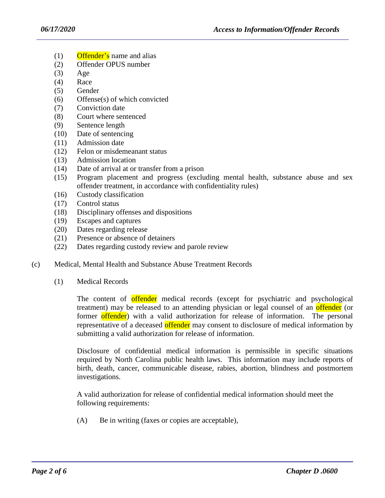- $(1)$  Offender's name and alias
- (2) Offender OPUS number
- (3) Age
- (4) Race
- (5) Gender
- (6) Offense(s) of which convicted
- (7) Conviction date
- (8) Court where sentenced
- (9) Sentence length
- (10) Date of sentencing
- (11) Admission date
- (12) Felon or misdemeanant status
- (13) Admission location
- (14) Date of arrival at or transfer from a prison
- (15) Program placement and progress (excluding mental health, substance abuse and sex offender treatment, in accordance with confidentiality rules)
- (16) Custody classification
- (17) Control status
- (18) Disciplinary offenses and dispositions
- (19) Escapes and captures
- (20) Dates regarding release
- (21) Presence or absence of detainers
- (22) Dates regarding custody review and parole review
- (c) Medical, Mental Health and Substance Abuse Treatment Records
	- (1) Medical Records

The content of offender medical records (except for psychiatric and psychological treatment) may be released to an attending physician or legal counsel of an **offender** (or former offender) with a valid authorization for release of information. The personal representative of a deceased offender may consent to disclosure of medical information by submitting a valid authorization for release of information.

Disclosure of confidential medical information is permissible in specific situations required by North Carolina public health laws. This information may include reports of birth, death, cancer, communicable disease, rabies, abortion, blindness and postmortem investigations.

A valid authorization for release of confidential medical information should meet the following requirements:

(A) Be in writing (faxes or copies are acceptable),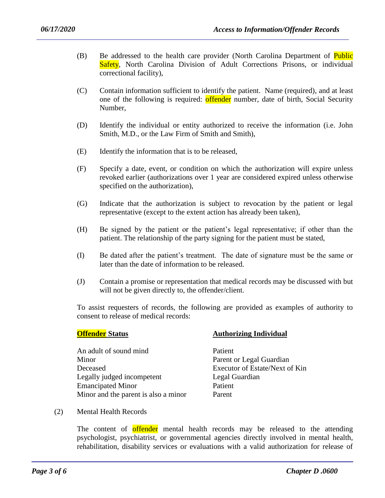- (B) Be addressed to the health care provider (North Carolina Department of Public Safety, North Carolina Division of Adult Corrections Prisons, or individual correctional facility),
- (C) Contain information sufficient to identify the patient. Name (required), and at least one of the following is required: **offender** number, date of birth, Social Security Number,
- (D) Identify the individual or entity authorized to receive the information (i.e. John Smith, M.D., or the Law Firm of Smith and Smith),
- (E) Identify the information that is to be released,
- (F) Specify a date, event, or condition on which the authorization will expire unless revoked earlier (authorizations over 1 year are considered expired unless otherwise specified on the authorization),
- (G) Indicate that the authorization is subject to revocation by the patient or legal representative (except to the extent action has already been taken),
- (H) Be signed by the patient or the patient's legal representative; if other than the patient. The relationship of the party signing for the patient must be stated,
- (I) Be dated after the patient's treatment. The date of signature must be the same or later than the date of information to be released.
- (J) Contain a promise or representation that medical records may be discussed with but will not be given directly to, the offender/client.

To assist requesters of records, the following are provided as examples of authority to consent to release of medical records:

An adult of sound mind<br>
Patient Minor Parent or Legal Guardian Deceased Executor of Estate/Next of Kin Legally judged incompetent Legal Guardian Emancipated Minor Patient Minor and the parent is also a minor Parent

## **Offender Status Authorizing Individual**

(2) Mental Health Records

The content of offender mental health records may be released to the attending psychologist, psychiatrist, or governmental agencies directly involved in mental health, rehabilitation, disability services or evaluations with a valid authorization for release of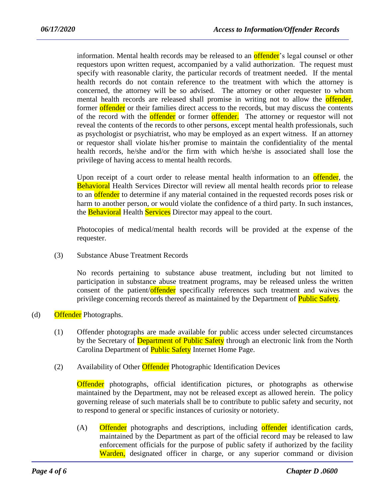information. Mental health records may be released to an **offender**'s legal counsel or other requestors upon written request, accompanied by a valid authorization. The request must specify with reasonable clarity, the particular records of treatment needed. If the mental health records do not contain reference to the treatment with which the attorney is concerned, the attorney will be so advised. The attorney or other requester to whom mental health records are released shall promise in writing not to allow the **offender**, former offender or their families direct access to the records, but may discuss the contents of the record with the **offender** or former **offender**. The attorney or requestor will not reveal the contents of the records to other persons, except mental health professionals, such as psychologist or psychiatrist, who may be employed as an expert witness. If an attorney or requestor shall violate his/her promise to maintain the confidentiality of the mental health records, he/she and/or the firm with which he/she is associated shall lose the privilege of having access to mental health records.

Upon receipt of a court order to release mental health information to an offender, the Behavioral Health Services Director will review all mental health records prior to release to an **offender** to determine if any material contained in the requested records poses risk or harm to another person, or would violate the confidence of a third party. In such instances, the **Behavioral** Health **Services** Director may appeal to the court.

Photocopies of medical/mental health records will be provided at the expense of the requester.

(3) Substance Abuse Treatment Records

No records pertaining to substance abuse treatment, including but not limited to participation in substance abuse treatment programs, may be released unless the written consent of the patient/offender specifically references such treatment and waives the privilege concerning records thereof as maintained by the Department of **Public Safety**.

- (d) Offender Photographs.
	- (1) Offender photographs are made available for public access under selected circumstances by the Secretary of **Department of Public Safety** through an electronic link from the North Carolina Department of **Public Safety** Internet Home Page.
	- (2) Availability of Other *Offender* Photographic Identification Devices

Offender photographs, official identification pictures, or photographs as otherwise maintained by the Department, may not be released except as allowed herein. The policy governing release of such materials shall be to contribute to public safety and security, not to respond to general or specific instances of curiosity or notoriety.

(A) Offender photographs and descriptions, including offender identification cards, maintained by the Department as part of the official record may be released to law enforcement officials for the purpose of public safety if authorized by the facility Warden, designated officer in charge, or any superior command or division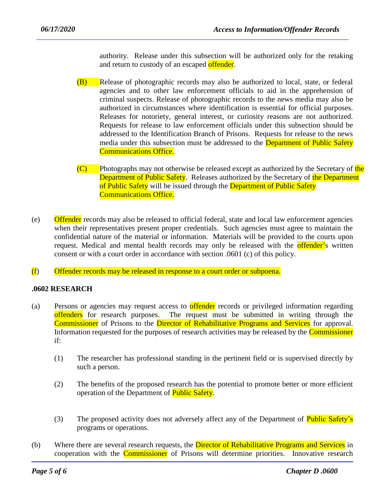authority. Release under this subsection will be authorized only for the retaking and return to custody of an escaped offender.

- (B) Release of photographic records may also be authorized to local, state, or federal agencies and to other law enforcement officials to aid in the apprehension of criminal suspects. Release of photographic records to the news media may also be authorized in circumstances where identification is essential for official purposes. Releases for notoriety, general interest, or curiosity reasons are not authorized. Requests for release to law enforcement officials under this subsection should be addressed to the Identification Branch of Prisons. Requests for release to the news media under this subsection must be addressed to the **Department of Public Safety** Communications Office.
- $(C)$  Photographs may not otherwise be released except as authorized by the Secretary of the Department of Public Safety. Releases authorized by the Secretary of the Department of Public Safety will be issued through the Department of Public Safety Communications Office.
- (e) Offender records may also be released to official federal, state and local law enforcement agencies when their representatives present proper credentials. Such agencies must agree to maintain the confidential nature of the material or information. Materials will be provided to the courts upon request. Medical and mental health records may only be released with the **offender's** written consent or with a court order in accordance with section .0601 (c) of this policy.
- (f) Offender records may be released in response to a court order or subpoena.

## **.0602 RESEARCH**

- (a) Persons or agencies may request access to offender records or privileged information regarding offenders for research purposes. The request must be submitted in writing through the Commissioner of Prisons to the Director of Rehabilitative Programs and Services for approval. Information requested for the purposes of research activities may be released by the Commissioner if:
	- (1) The researcher has professional standing in the pertinent field or is supervised directly by such a person.
	- (2) The benefits of the proposed research has the potential to promote better or more efficient operation of the Department of **Public Safety**.
	- (3) The proposed activity does not adversely affect any of the Department of **Public Safety's** programs or operations.
- (b) Where there are several research requests, the **Director of Rehabilitative Programs and Services** in cooperation with the Commissioner of Prisons will determine priorities. Innovative research